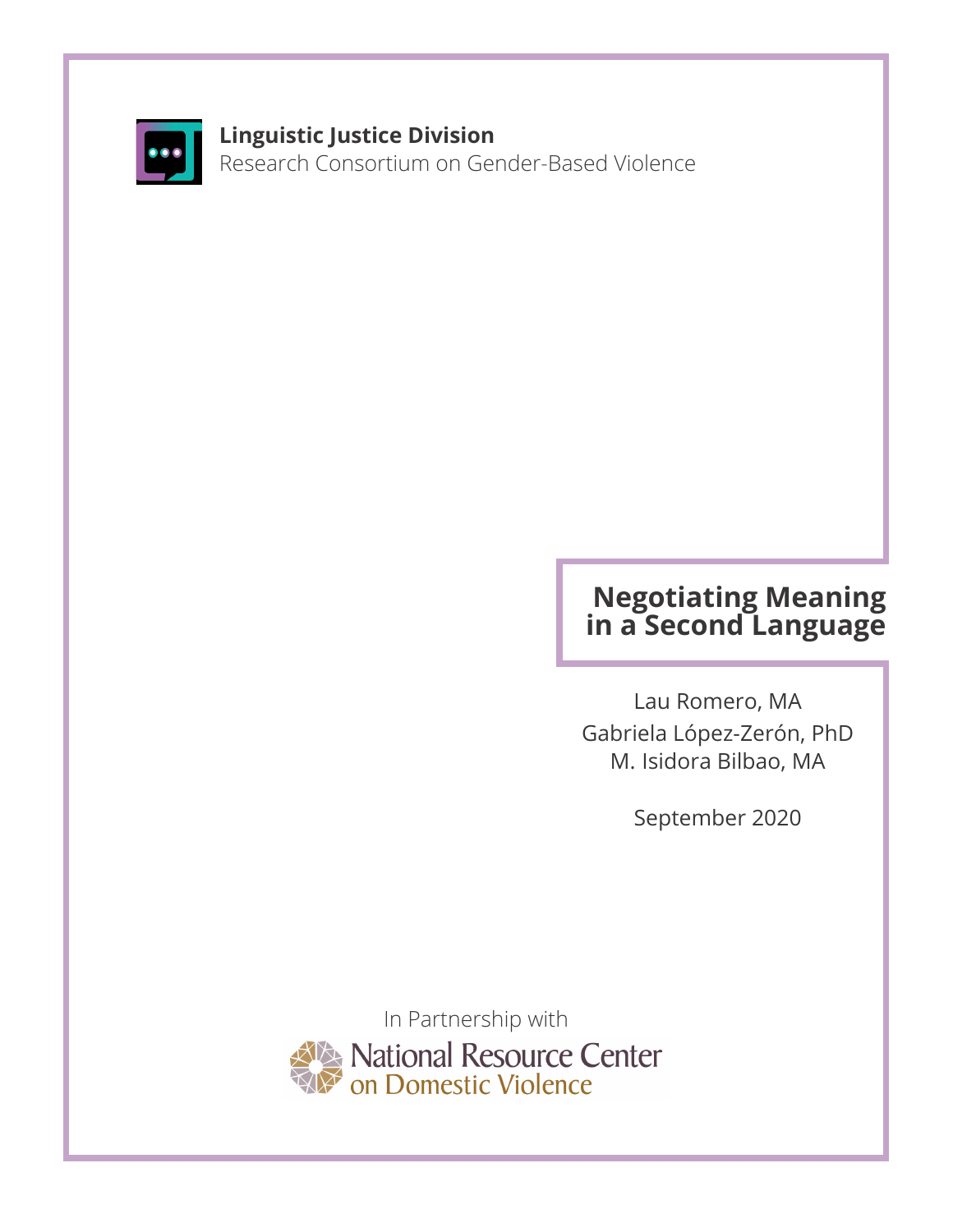

#### **Linguistic Justice Division**

Research Consortium on Gender-Based Violence

### **Negotiating Meaning in a Second Language**

Lau Romero, MA Gabriela López-Zerón, PhD M. Isidora Bilbao, MA

September 2020

In Partnership with National Resource Center<br>On Domestic Violence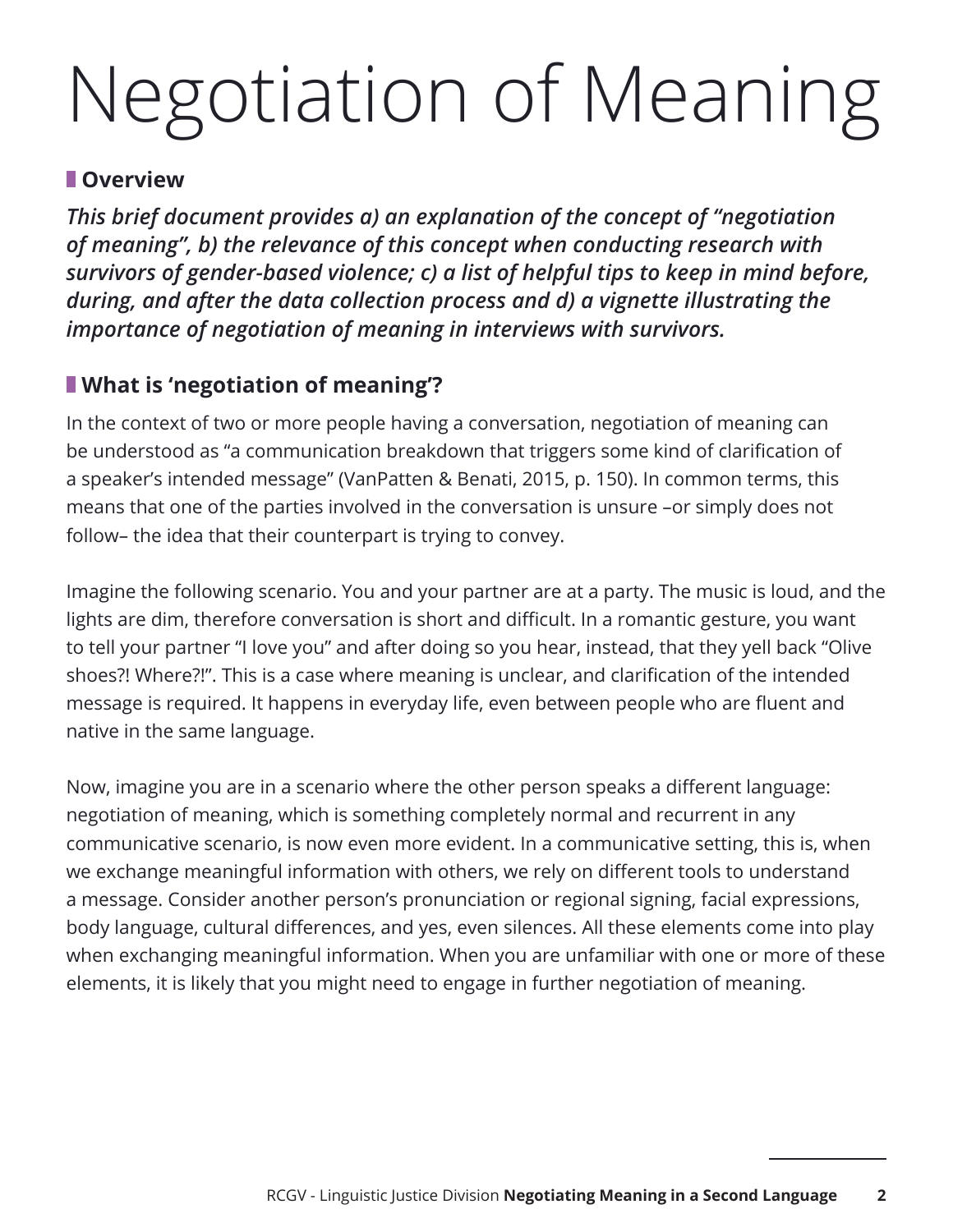## Negotiation of Meaning

#### **Overview**

*This brief document provides a) an explanation of the concept of "negotiation of meaning", b) the relevance of this concept when conducting research with survivors of gender-based violence; c) a list of helpful tips to keep in mind before, during, and after the data collection process and d) a vignette illustrating the importance of negotiation of meaning in interviews with survivors.*

#### **What is 'negotiation of meaning'?**

In the context of two or more people having a conversation, negotiation of meaning can be understood as "a communication breakdown that triggers some kind of clarification of a speaker's intended message" (VanPatten & Benati, 2015, p. 150). In common terms, this means that one of the parties involved in the conversation is unsure –or simply does not follow– the idea that their counterpart is trying to convey.

Imagine the following scenario. You and your partner are at a party. The music is loud, and the lights are dim, therefore conversation is short and difficult. In a romantic gesture, you want to tell your partner "I love you" and after doing so you hear, instead, that they yell back "Olive shoes?! Where?!". This is a case where meaning is unclear, and clarification of the intended message is required. It happens in everyday life, even between people who are fluent and native in the same language.

Now, imagine you are in a scenario where the other person speaks a different language: negotiation of meaning, which is something completely normal and recurrent in any communicative scenario, is now even more evident. In a communicative setting, this is, when we exchange meaningful information with others, we rely on different tools to understand a message. Consider another person's pronunciation or regional signing, facial expressions, body language, cultural differences, and yes, even silences. All these elements come into play when exchanging meaningful information. When you are unfamiliar with one or more of these elements, it is likely that you might need to engage in further negotiation of meaning.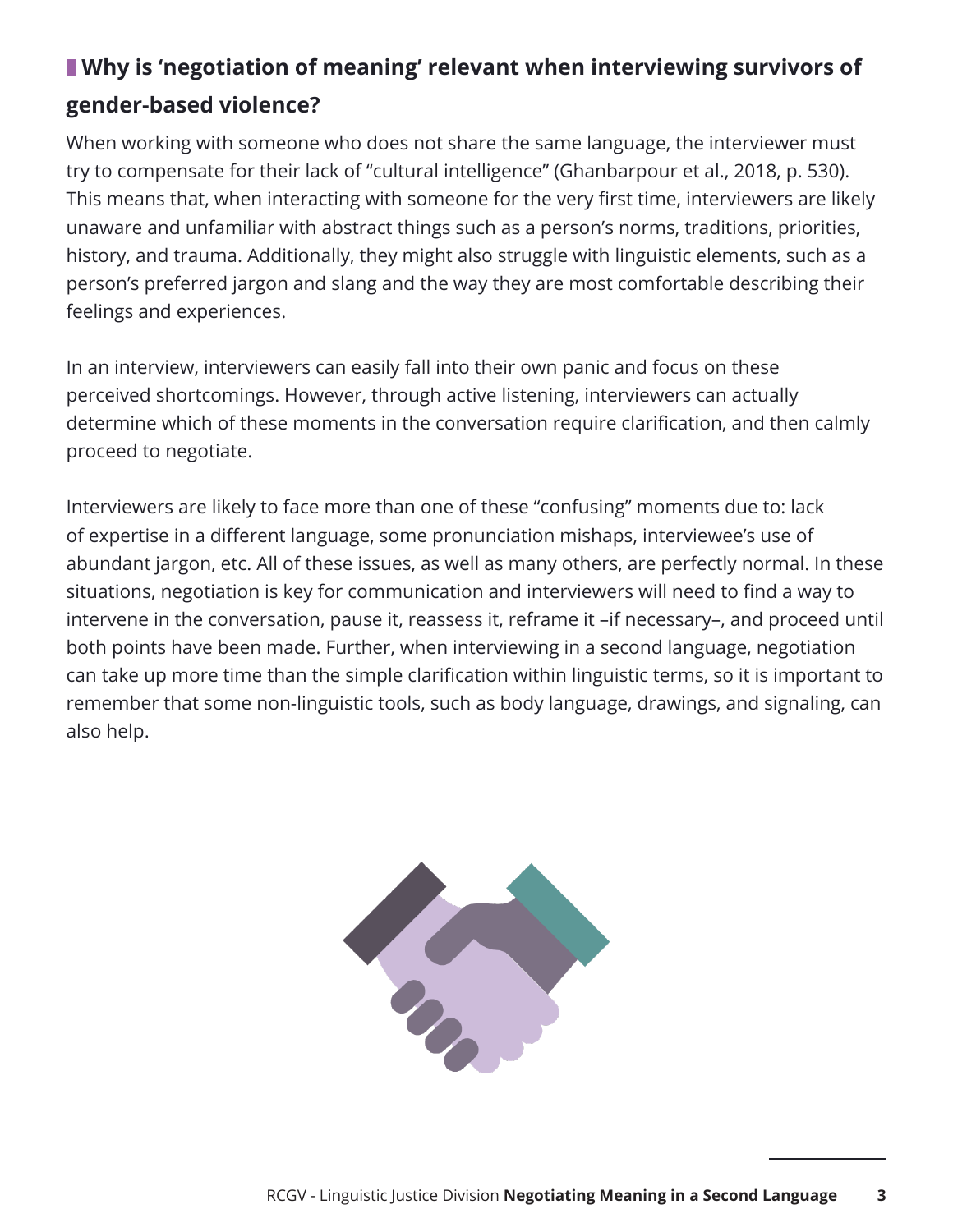#### **Why is 'negotiation of meaning' relevant when interviewing survivors of gender-based violence?**

When working with someone who does not share the same language, the interviewer must try to compensate for their lack of "cultural intelligence" (Ghanbarpour et al., 2018, p. 530). This means that, when interacting with someone for the very first time, interviewers are likely unaware and unfamiliar with abstract things such as a person's norms, traditions, priorities, history, and trauma. Additionally, they might also struggle with linguistic elements, such as a person's preferred jargon and slang and the way they are most comfortable describing their feelings and experiences.

In an interview, interviewers can easily fall into their own panic and focus on these perceived shortcomings. However, through active listening, interviewers can actually determine which of these moments in the conversation require clarification, and then calmly proceed to negotiate.

Interviewers are likely to face more than one of these "confusing" moments due to: lack of expertise in a different language, some pronunciation mishaps, interviewee's use of abundant jargon, etc. All of these issues, as well as many others, are perfectly normal. In these situations, negotiation is key for communication and interviewers will need to find a way to intervene in the conversation, pause it, reassess it, reframe it –if necessary–, and proceed until both points have been made. Further, when interviewing in a second language, negotiation can take up more time than the simple clarification within linguistic terms, so it is important to remember that some non-linguistic tools, such as body language, drawings, and signaling, can also help.

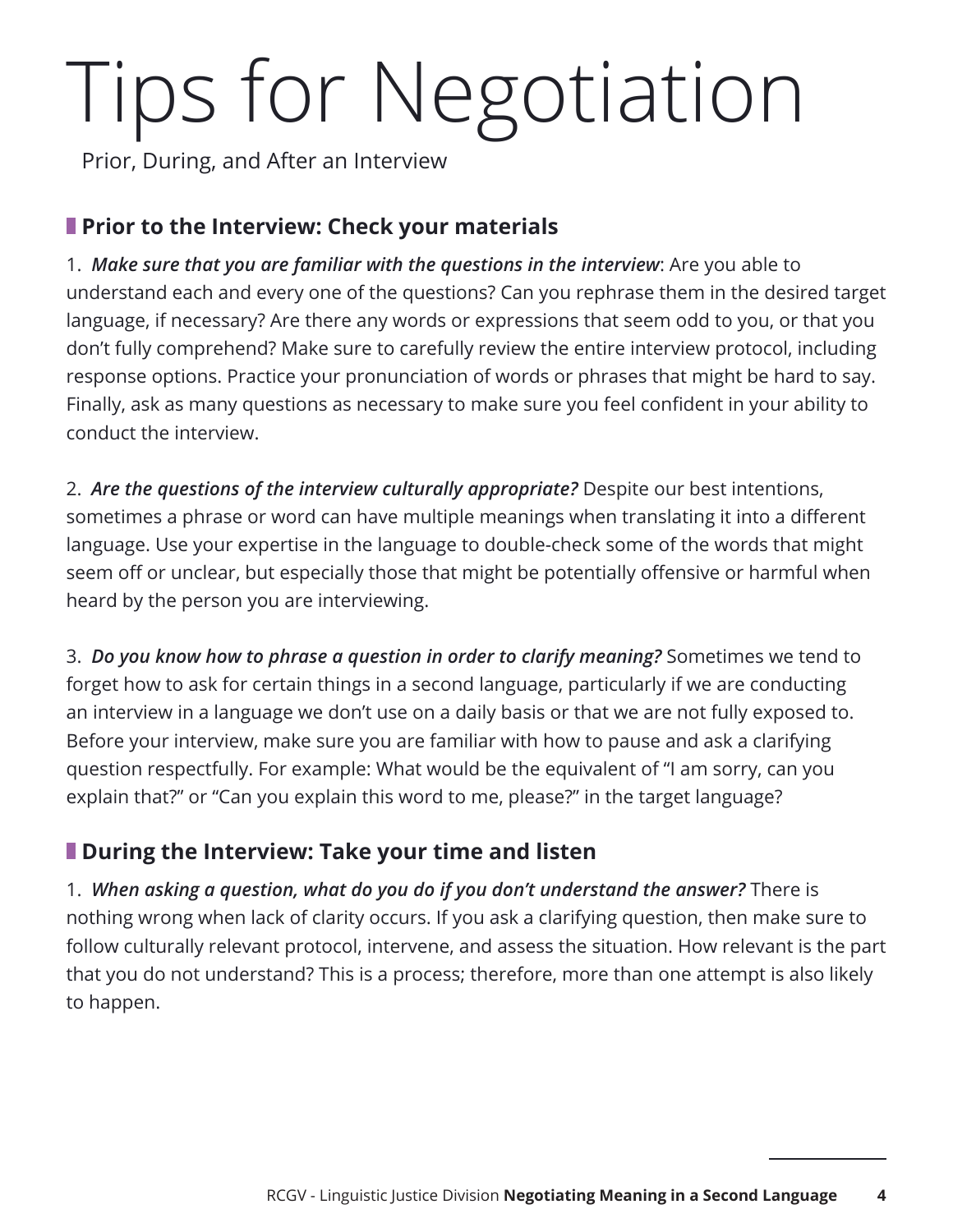# Tips for Negotiation

Prior, During, and After an Interview

#### **Prior to the Interview: Check your materials**

1. *Make sure that you are familiar with the questions in the interview*: Are you able to understand each and every one of the questions? Can you rephrase them in the desired target language, if necessary? Are there any words or expressions that seem odd to you, or that you don't fully comprehend? Make sure to carefully review the entire interview protocol, including response options. Practice your pronunciation of words or phrases that might be hard to say. Finally, ask as many questions as necessary to make sure you feel confident in your ability to conduct the interview.

2. *Are the questions of the interview culturally appropriate?* Despite our best intentions, sometimes a phrase or word can have multiple meanings when translating it into a different language. Use your expertise in the language to double-check some of the words that might seem off or unclear, but especially those that might be potentially offensive or harmful when heard by the person you are interviewing.

3. *Do you know how to phrase a question in order to clarify meaning?* Sometimes we tend to forget how to ask for certain things in a second language, particularly if we are conducting an interview in a language we don't use on a daily basis or that we are not fully exposed to. Before your interview, make sure you are familiar with how to pause and ask a clarifying question respectfully. For example: What would be the equivalent of "I am sorry, can you explain that?" or "Can you explain this word to me, please?" in the target language?

#### **During the Interview: Take your time and listen**

1. *When asking a question, what do you do if you don't understand the answer?* There is nothing wrong when lack of clarity occurs. If you ask a clarifying question, then make sure to follow culturally relevant protocol, intervene, and assess the situation. How relevant is the part that you do not understand? This is a process; therefore, more than one attempt is also likely to happen.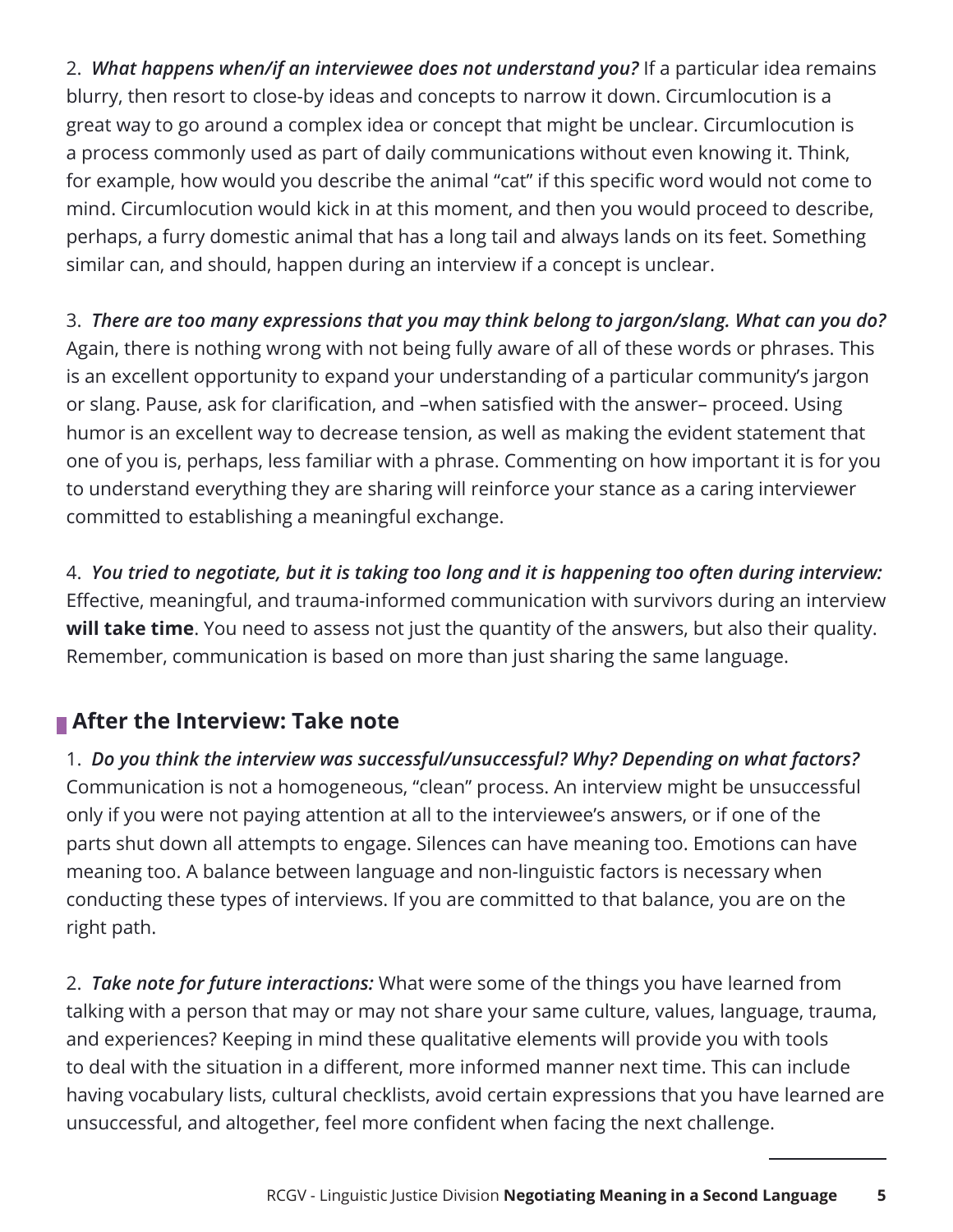2. *What happens when/if an interviewee does not understand you?* If a particular idea remains blurry, then resort to close-by ideas and concepts to narrow it down. Circumlocution is a great way to go around a complex idea or concept that might be unclear. Circumlocution is a process commonly used as part of daily communications without even knowing it. Think, for example, how would you describe the animal "cat" if this specific word would not come to mind. Circumlocution would kick in at this moment, and then you would proceed to describe, perhaps, a furry domestic animal that has a long tail and always lands on its feet. Something similar can, and should, happen during an interview if a concept is unclear.

3. *There are too many expressions that you may think belong to jargon/slang. What can you do?* Again, there is nothing wrong with not being fully aware of all of these words or phrases. This is an excellent opportunity to expand your understanding of a particular community's jargon or slang. Pause, ask for clarification, and –when satisfied with the answer– proceed. Using humor is an excellent way to decrease tension, as well as making the evident statement that one of you is, perhaps, less familiar with a phrase. Commenting on how important it is for you to understand everything they are sharing will reinforce your stance as a caring interviewer committed to establishing a meaningful exchange.

4. *You tried to negotiate, but it is taking too long and it is happening too often during interview:* Effective, meaningful, and trauma-informed communication with survivors during an interview **will take time**. You need to assess not just the quantity of the answers, but also their quality. Remember, communication is based on more than just sharing the same language.

#### **After the Interview: Take note**

1. *Do you think the interview was successful/unsuccessful? Why? Depending on what factors?* Communication is not a homogeneous, "clean" process. An interview might be unsuccessful only if you were not paying attention at all to the interviewee's answers, or if one of the parts shut down all attempts to engage. Silences can have meaning too. Emotions can have meaning too. A balance between language and non-linguistic factors is necessary when conducting these types of interviews. If you are committed to that balance, you are on the right path.

2. *Take note for future interactions:* What were some of the things you have learned from talking with a person that may or may not share your same culture, values, language, trauma, and experiences? Keeping in mind these qualitative elements will provide you with tools to deal with the situation in a different, more informed manner next time. This can include having vocabulary lists, cultural checklists, avoid certain expressions that you have learned are unsuccessful, and altogether, feel more confident when facing the next challenge.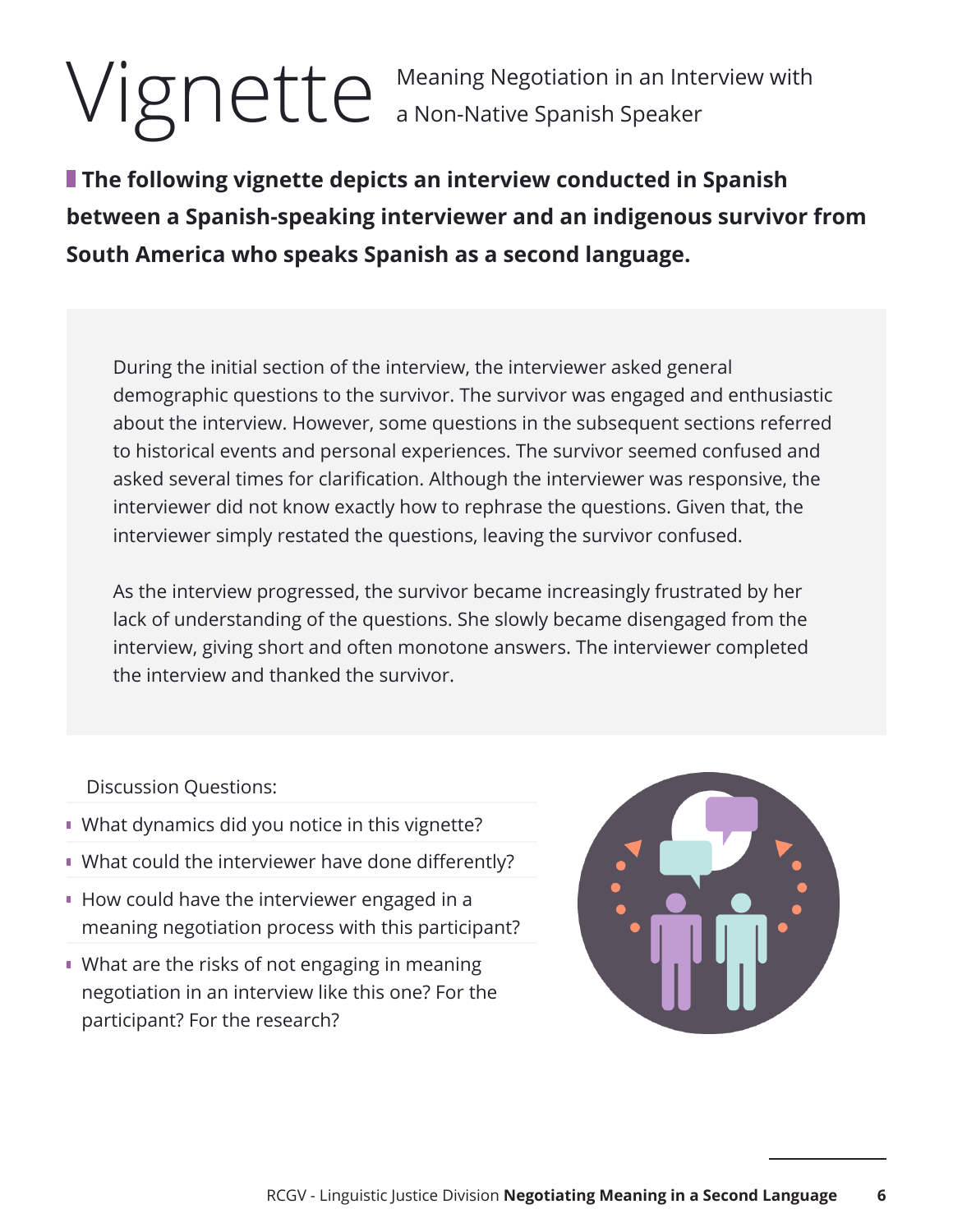Vignette a Non-Native Spanish Speaker a Non-Native Spanish Speaker

**The following vignette depicts an interview conducted in Spanish between a Spanish-speaking interviewer and an indigenous survivor from South America who speaks Spanish as a second language.** 

During the initial section of the interview, the interviewer asked general demographic questions to the survivor. The survivor was engaged and enthusiastic about the interview. However, some questions in the subsequent sections referred to historical events and personal experiences. The survivor seemed confused and asked several times for clarification. Although the interviewer was responsive, the interviewer did not know exactly how to rephrase the questions. Given that, the interviewer simply restated the questions, leaving the survivor confused.

As the interview progressed, the survivor became increasingly frustrated by her lack of understanding of the questions. She slowly became disengaged from the interview, giving short and often monotone answers. The interviewer completed the interview and thanked the survivor.

Discussion Questions:

- **What dynamics did you notice in this vignette?**
- What could the interviewer have done differently?
- How could have the interviewer engaged in a meaning negotiation process with this participant?
- **What are the risks of not engaging in meaning** negotiation in an interview like this one? For the participant? For the research?